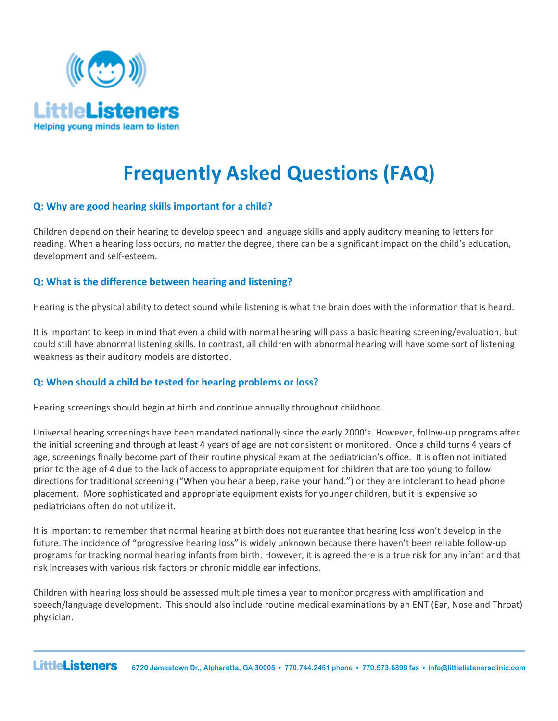

# **Frequently Asked Questions (FAQ)**

# **Q:** Why are good hearing skills important for a child?

Children depend on their hearing to develop speech and language skills and apply auditory meaning to letters for reading. When a hearing loss occurs, no matter the degree, there can be a significant impact on the child's education, development and self-esteem.

# **Q:** What is the difference between hearing and listening?

Hearing is the physical ability to detect sound while listening is what the brain does with the information that is heard.

It is important to keep in mind that even a child with normal hearing will pass a basic hearing screening/evaluation, but could still have abnormal listening skills. In contrast, all children with abnormal hearing will have some sort of listening weakness as their auditory models are distorted.

## **Q:** When should a child be tested for hearing problems or loss?

Hearing screenings should begin at birth and continue annually throughout childhood.

Universal hearing screenings have been mandated nationally since the early 2000's. However, follow-up programs after the initial screening and through at least 4 years of age are not consistent or monitored. Once a child turns 4 years of age, screenings finally become part of their routine physical exam at the pediatrician's office. It is often not initiated prior to the age of 4 due to the lack of access to appropriate equipment for children that are too young to follow directions for traditional screening ("When you hear a beep, raise your hand.") or they are intolerant to head phone placement. More sophisticated and appropriate equipment exists for younger children, but it is expensive so pediatricians often do not utilize it.

It is important to remember that normal hearing at birth does not guarantee that hearing loss won't develop in the future. The incidence of "progressive hearing loss" is widely unknown because there haven't been reliable follow-up programs for tracking normal hearing infants from birth. However, it is agreed there is a true risk for any infant and that risk increases with various risk factors or chronic middle ear infections.

Children with hearing loss should be assessed multiple times a year to monitor progress with amplification and speech/language development. This should also include routine medical examinations by an ENT (Ear, Nose and Throat) physician.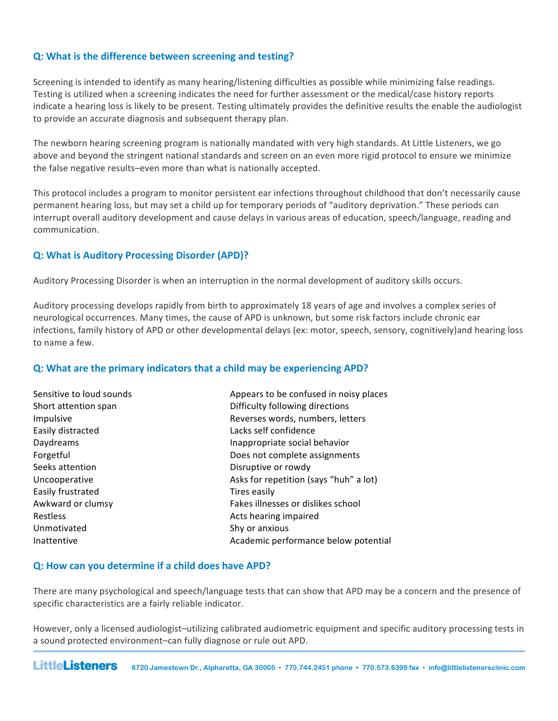## **Q: What is the difference between screening and testing?**

Screening is intended to identify as many hearing/listening difficulties as possible while minimizing false readings. Testing is utilized when a screening indicates the need for further assessment or the medical/case history reports indicate a hearing loss is likely to be present. Testing ultimately provides the definitive results the enable the audiologist to provide an accurate diagnosis and subsequent therapy plan.

The newborn hearing screening program is nationally mandated with very high standards. At Little Listeners, we go above and beyond the stringent national standards and screen on an even more rigid protocol to ensure we minimize the false negative results–even more than what is nationally accepted.

This protocol includes a program to monitor persistent ear infections throughout childhood that don't necessarily cause permanent hearing loss, but may set a child up for temporary periods of "auditory deprivation." These periods can interrupt overall auditory development and cause delays in various areas of education, speech/language, reading and communication. 

## **Q: What is Auditory Processing Disorder (APD)?**

Auditory Processing Disorder is when an interruption in the normal development of auditory skills occurs.

Auditory processing develops rapidly from birth to approximately 18 years of age and involves a complex series of neurological occurrences. Many times, the cause of APD is unknown, but some risk factors include chronic ear infections, family history of APD or other developmental delays (ex: motor, speech, sensory, cognitively)and hearing loss to name a few.

## **Q:** What are the primary indicators that a child may be experiencing APD?

| Sensitive to loud sounds | Appears to be confused in noisy places |
|--------------------------|----------------------------------------|
| Short attention span     | Difficulty following directions        |
| Impulsive                | Reverses words, numbers, letters       |
| Easily distracted        | Lacks self confidence                  |
| Daydreams                | Inappropriate social behavior          |
| Forgetful                | Does not complete assignments          |
| Seeks attention          | Disruptive or rowdy                    |
| Uncooperative            | Asks for repetition (says "huh" a lot) |
| Easily frustrated        | Tires easily                           |
| Awkward or clumsy        | Fakes illnesses or dislikes school     |
| <b>Restless</b>          | Acts hearing impaired                  |
| Unmotivated              | Shy or anxious                         |
| Inattentive              | Academic performance below potential   |

## **Q: How can you determine if a child does have APD?**

There are many psychological and speech/language tests that can show that APD may be a concern and the presence of specific characteristics are a fairly reliable indicator.

However, only a licensed audiologist-utilizing calibrated audiometric equipment and specific auditory processing tests in a sound protected environment-can fully diagnose or rule out APD.